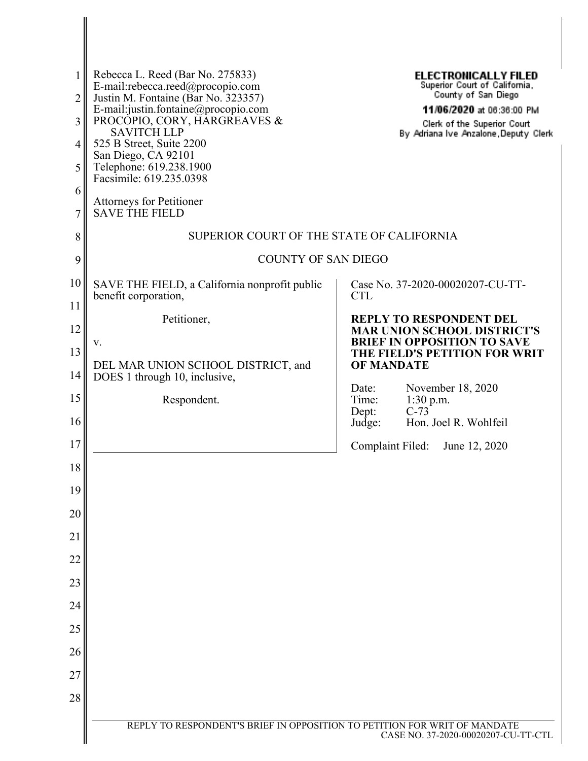| 1<br>2<br>3<br>4<br>5<br>6 | Rebecca L. Reed (Bar No. 275833)<br>E-mail:rebecca.reed@procopio.com<br>Justin M. Fontaine (Bar No. 323357)<br>E-mail:justin.fontaine@procopio.com<br>PROCOPIO, CORY, HARGREAVES &<br><b>SAVITCH LLP</b><br>525 B Street, Suite 2200<br>San Diego, CA 92101<br>Telephone: 619.238.1900<br>Facsimile: 619.235.0398<br><b>Attorneys for Petitioner</b> | <b>ELECTRONICALLY FILED</b><br>Superior Court of California,<br>County of San Diego<br>11/06/2020 at 06:36:00 PM<br>Clerk of the Superior Court<br>By Adriana Ive Anzalone, Deputy Clerk |
|----------------------------|------------------------------------------------------------------------------------------------------------------------------------------------------------------------------------------------------------------------------------------------------------------------------------------------------------------------------------------------------|------------------------------------------------------------------------------------------------------------------------------------------------------------------------------------------|
| 7<br>8                     | <b>SAVE THE FIELD</b><br>SUPERIOR COURT OF THE STATE OF CALIFORNIA                                                                                                                                                                                                                                                                                   |                                                                                                                                                                                          |
| 9                          | <b>COUNTY OF SAN DIEGO</b>                                                                                                                                                                                                                                                                                                                           |                                                                                                                                                                                          |
| 10                         | SAVE THE FIELD, a California nonprofit public<br>benefit corporation,                                                                                                                                                                                                                                                                                | Case No. 37-2020-00020207-CU-TT-<br><b>CTL</b>                                                                                                                                           |
| 11<br>12<br>13             | Petitioner,<br>V.                                                                                                                                                                                                                                                                                                                                    | <b>REPLY TO RESPONDENT DEL</b><br><b>MAR UNION SCHOOL DISTRICT'S</b><br><b>BRIEF IN OPPOSITION TO SAVE</b><br>THE FIELD'S PETITION FOR WRIT                                              |
| 14                         | DEL MAR UNION SCHOOL DISTRICT, and<br>DOES 1 through 10, inclusive,                                                                                                                                                                                                                                                                                  | <b>OF MANDATE</b>                                                                                                                                                                        |
| 15                         | Respondent.                                                                                                                                                                                                                                                                                                                                          | November 18, 2020<br>Date:<br>Time:<br>$1:30$ p.m.                                                                                                                                       |
| 16                         |                                                                                                                                                                                                                                                                                                                                                      | $C-73$<br>Dept:<br>Hon. Joel R. Wohlfeil<br>Judge:                                                                                                                                       |
| 17                         |                                                                                                                                                                                                                                                                                                                                                      | Complaint Filed: June 12, 2020                                                                                                                                                           |
| 18                         |                                                                                                                                                                                                                                                                                                                                                      |                                                                                                                                                                                          |
| 19                         |                                                                                                                                                                                                                                                                                                                                                      |                                                                                                                                                                                          |
| 20<br>21                   |                                                                                                                                                                                                                                                                                                                                                      |                                                                                                                                                                                          |
| 22                         |                                                                                                                                                                                                                                                                                                                                                      |                                                                                                                                                                                          |
| 23                         |                                                                                                                                                                                                                                                                                                                                                      |                                                                                                                                                                                          |
| 24                         |                                                                                                                                                                                                                                                                                                                                                      |                                                                                                                                                                                          |
| 25                         |                                                                                                                                                                                                                                                                                                                                                      |                                                                                                                                                                                          |
| 26                         |                                                                                                                                                                                                                                                                                                                                                      |                                                                                                                                                                                          |
| 27                         |                                                                                                                                                                                                                                                                                                                                                      |                                                                                                                                                                                          |
| 28                         |                                                                                                                                                                                                                                                                                                                                                      |                                                                                                                                                                                          |
|                            | REPLY TO RESPONDENT'S BRIEF IN OPPOSITION TO PETITION FOR WRIT OF MANDATE                                                                                                                                                                                                                                                                            | CASE NO. 37-2020-00020207-CU-TT-CTL                                                                                                                                                      |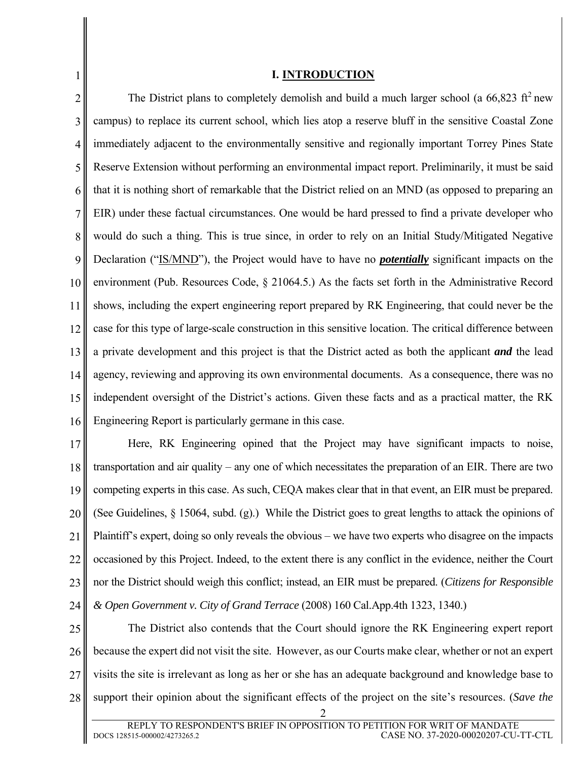#### **I. INTRODUCTION**

1

2 3 4 5 6 7 8 9 10 11 12 13 14 15 16 The District plans to completely demolish and build a much larger school (a  $66,823$  ft<sup>2</sup> new campus) to replace its current school, which lies atop a reserve bluff in the sensitive Coastal Zone immediately adjacent to the environmentally sensitive and regionally important Torrey Pines State Reserve Extension without performing an environmental impact report. Preliminarily, it must be said that it is nothing short of remarkable that the District relied on an MND (as opposed to preparing an EIR) under these factual circumstances. One would be hard pressed to find a private developer who would do such a thing. This is true since, in order to rely on an Initial Study/Mitigated Negative Declaration ("IS/MND"), the Project would have to have no *potentially* significant impacts on the environment (Pub. Resources Code, § 21064.5.) As the facts set forth in the Administrative Record shows, including the expert engineering report prepared by RK Engineering, that could never be the case for this type of large-scale construction in this sensitive location. The critical difference between a private development and this project is that the District acted as both the applicant *and* the lead agency, reviewing and approving its own environmental documents. As a consequence, there was no independent oversight of the District's actions. Given these facts and as a practical matter, the RK Engineering Report is particularly germane in this case.

17 18 19 20 21 22 23 24 Here, RK Engineering opined that the Project may have significant impacts to noise, transportation and air quality – any one of which necessitates the preparation of an EIR. There are two competing experts in this case. As such, CEQA makes clear that in that event, an EIR must be prepared. (See Guidelines, § 15064, subd. (g).) While the District goes to great lengths to attack the opinions of Plaintiff's expert, doing so only reveals the obvious – we have two experts who disagree on the impacts occasioned by this Project. Indeed, to the extent there is any conflict in the evidence, neither the Court nor the District should weigh this conflict; instead, an EIR must be prepared. (*Citizens for Responsible & Open Government v. City of Grand Terrace* (2008) 160 Cal.App.4th 1323, 1340.)

25 26 27 28 The District also contends that the Court should ignore the RK Engineering expert report because the expert did not visit the site. However, as our Courts make clear, whether or not an expert visits the site is irrelevant as long as her or she has an adequate background and knowledge base to support their opinion about the significant effects of the project on the site's resources. (*Save the*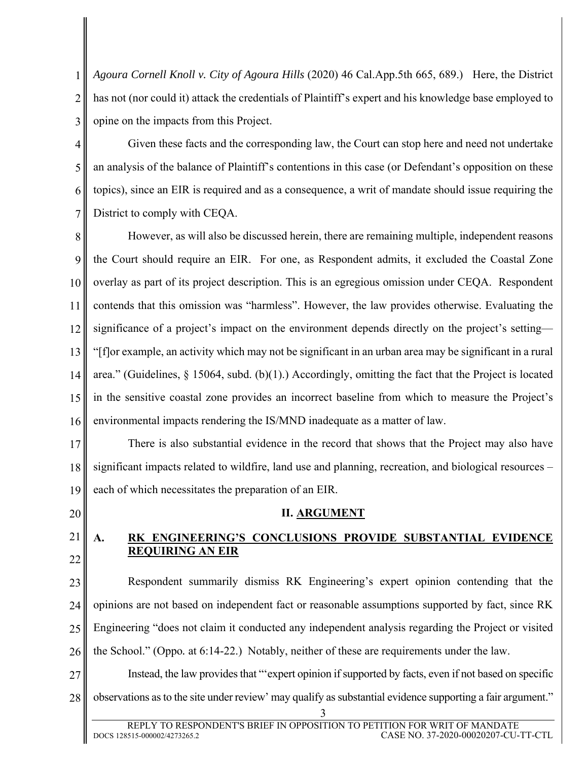2 3 *Agoura Cornell Knoll v. City of Agoura Hills* (2020) 46 Cal.App.5th 665, 689.) Here, the District has not (nor could it) attack the credentials of Plaintiff's expert and his knowledge base employed to opine on the impacts from this Project.

4 5 6 7 Given these facts and the corresponding law, the Court can stop here and need not undertake an analysis of the balance of Plaintiff's contentions in this case (or Defendant's opposition on these topics), since an EIR is required and as a consequence, a writ of mandate should issue requiring the District to comply with CEQA.

8 9 10 11 12 13 14 15 16 However, as will also be discussed herein, there are remaining multiple, independent reasons the Court should require an EIR. For one, as Respondent admits, it excluded the Coastal Zone overlay as part of its project description. This is an egregious omission under CEQA. Respondent contends that this omission was "harmless". However, the law provides otherwise. Evaluating the significance of a project's impact on the environment depends directly on the project's setting— "[f]or example, an activity which may not be significant in an urban area may be significant in a rural area." (Guidelines, § 15064, subd. (b)(1).) Accordingly, omitting the fact that the Project is located in the sensitive coastal zone provides an incorrect baseline from which to measure the Project's environmental impacts rendering the IS/MND inadequate as a matter of law.

17 18 19 There is also substantial evidence in the record that shows that the Project may also have significant impacts related to wildfire, land use and planning, recreation, and biological resources – each of which necessitates the preparation of an EIR.

**II. ARGUMENT** 

20

1

21 22

## **A. RK ENGINEERING'S CONCLUSIONS PROVIDE SUBSTANTIAL EVIDENCE REQUIRING AN EIR**

23 24 25 26 Respondent summarily dismiss RK Engineering's expert opinion contending that the opinions are not based on independent fact or reasonable assumptions supported by fact, since RK Engineering "does not claim it conducted any independent analysis regarding the Project or visited the School." (Oppo*.* at 6:14-22.) Notably, neither of these are requirements under the law.

27 28 Instead, the law provides that "'expert opinion if supported by facts, even if not based on specific observations as to the site under review' may qualify as substantial evidence supporting a fair argument."

<sup>3</sup>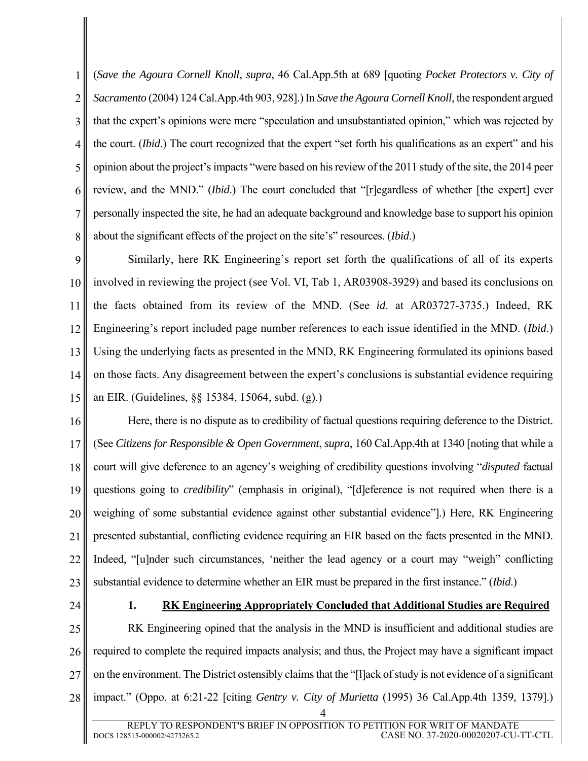1 2 3 4 5 6 7 8 (*Save the Agoura Cornell Knoll*, *supra*, 46 Cal.App.5th at 689 [quoting *Pocket Protectors v. City of Sacramento* (2004) 124 Cal.App.4th 903, 928].) In *Save the Agoura Cornell Knoll*, the respondent argued that the expert's opinions were mere "speculation and unsubstantiated opinion," which was rejected by the court. (*Ibid*.) The court recognized that the expert "set forth his qualifications as an expert" and his opinion about the project's impacts "were based on his review of the 2011 study of the site, the 2014 peer review, and the MND." (*Ibid*.) The court concluded that "[r]egardless of whether [the expert] ever personally inspected the site, he had an adequate background and knowledge base to support his opinion about the significant effects of the project on the site's" resources. (*Ibid*.)

9 10 11 12 13 14 15 Similarly, here RK Engineering's report set forth the qualifications of all of its experts involved in reviewing the project (see Vol. VI, Tab 1, AR03908-3929) and based its conclusions on the facts obtained from its review of the MND. (See *id*. at AR03727-3735.) Indeed, RK Engineering's report included page number references to each issue identified in the MND. (*Ibid*.) Using the underlying facts as presented in the MND, RK Engineering formulated its opinions based on those facts. Any disagreement between the expert's conclusions is substantial evidence requiring an EIR. (Guidelines, §§ 15384, 15064, subd. (g).)

16 17 18 19 20 21 22 23 Here, there is no dispute as to credibility of factual questions requiring deference to the District. (See *Citizens for Responsible & Open Government*, *supra*, 160 Cal.App.4th at 1340 [noting that while a court will give deference to an agency's weighing of credibility questions involving "*disputed* factual questions going to *credibility*" (emphasis in original), "[d]eference is not required when there is a weighing of some substantial evidence against other substantial evidence"].) Here, RK Engineering presented substantial, conflicting evidence requiring an EIR based on the facts presented in the MND. Indeed, "[u]nder such circumstances, 'neither the lead agency or a court may "weigh" conflicting substantial evidence to determine whether an EIR must be prepared in the first instance." (*Ibid*.)

24

### **1. RK Engineering Appropriately Concluded that Additional Studies are Required**

25 26 27 28 RK Engineering opined that the analysis in the MND is insufficient and additional studies are required to complete the required impacts analysis; and thus, the Project may have a significant impact on the environment. The District ostensibly claims that the "[l]ack of study is not evidence of a significant impact." (Oppo. at 6:21-22 [citing *Gentry v. City of Murietta* (1995) 36 Cal.App.4th 1359, 1379].)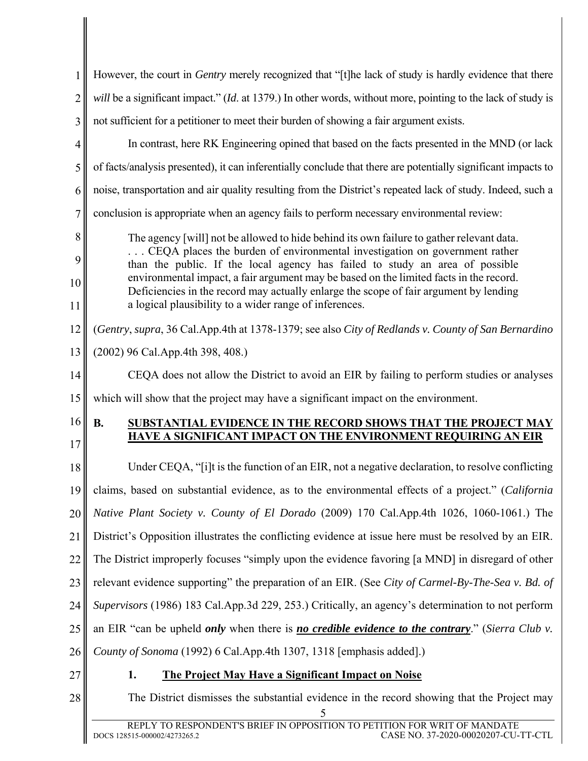| However, the court in Gentry merely recognized that "[t]he lack of study is hardly evidence that there<br>will be a significant impact." (Id. at 1379.) In other words, without more, pointing to the lack of study is<br>$\overline{2}$<br>not sufficient for a petitioner to meet their burden of showing a fair argument exists.<br>3<br>In contrast, here RK Engineering opined that based on the facts presented in the MND (or lack<br>4<br>5<br>of facts/analysis presented), it can inferentially conclude that there are potentially significant impacts to<br>noise, transportation and air quality resulting from the District's repeated lack of study. Indeed, such a<br>6<br>conclusion is appropriate when an agency fails to perform necessary environmental review:<br>$\overline{7}$<br>8<br>The agency [will] not be allowed to hide behind its own failure to gather relevant data.<br>CEQA places the burden of environmental investigation on government rather<br>9<br>than the public. If the local agency has failed to study an area of possible<br>environmental impact, a fair argument may be based on the limited facts in the record.<br>10<br>Deficiencies in the record may actually enlarge the scope of fair argument by lending<br>a logical plausibility to a wider range of inferences.<br>11<br>(Gentry, supra, 36 Cal.App.4th at 1378-1379; see also City of Redlands v. County of San Bernardino<br>12<br>13<br>(2002) 96 Cal.App.4th 398, 408.)<br>14<br>CEQA does not allow the District to avoid an EIR by failing to perform studies or analyses<br>15<br>which will show that the project may have a significant impact on the environment.<br>16<br><b>B.</b><br>SUBSTANTIAL EVIDENCE IN THE RECORD SHOWS THAT THE PROJECT MAY<br><b>HAVE A SIGNIFICANT IMPACT ON THE ENVIRONMENT REQUIRING AN EIR</b><br>17<br>Under CEQA, "[i]t is the function of an EIR, not a negative declaration, to resolve conflicting<br>18<br>claims, based on substantial evidence, as to the environmental effects of a project." (California<br>19 <sub>1</sub><br>Native Plant Society v. County of El Dorado (2009) 170 Cal.App.4th 1026, 1060-1061.) The<br>20<br>District's Opposition illustrates the conflicting evidence at issue here must be resolved by an EIR.<br>21<br>The District improperly focuses "simply upon the evidence favoring [a MND] in disregard of other<br>22<br>relevant evidence supporting" the preparation of an EIR. (See City of Carmel-By-The-Sea v. Bd. of<br>23<br>Supervisors (1986) 183 Cal.App.3d 229, 253.) Critically, an agency's determination to not perform<br>24<br>25<br>an EIR "can be upheld only when there is no credible evidence to the contrary." (Sierra Club v.<br>County of Sonoma (1992) 6 Cal.App.4th 1307, 1318 [emphasis added].)<br>26<br>27<br><b>The Project May Have a Significant Impact on Noise</b><br>1.<br>28<br>The District dismisses the substantial evidence in the record showing that the Project may<br>REPLY TO RESPONDENT'S BRIEF IN OPPOSITION TO PETITION FOR WRIT OF MANDATE |                                                                     |  |
|----------------------------------------------------------------------------------------------------------------------------------------------------------------------------------------------------------------------------------------------------------------------------------------------------------------------------------------------------------------------------------------------------------------------------------------------------------------------------------------------------------------------------------------------------------------------------------------------------------------------------------------------------------------------------------------------------------------------------------------------------------------------------------------------------------------------------------------------------------------------------------------------------------------------------------------------------------------------------------------------------------------------------------------------------------------------------------------------------------------------------------------------------------------------------------------------------------------------------------------------------------------------------------------------------------------------------------------------------------------------------------------------------------------------------------------------------------------------------------------------------------------------------------------------------------------------------------------------------------------------------------------------------------------------------------------------------------------------------------------------------------------------------------------------------------------------------------------------------------------------------------------------------------------------------------------------------------------------------------------------------------------------------------------------------------------------------------------------------------------------------------------------------------------------------------------------------------------------------------------------------------------------------------------------------------------------------------------------------------------------------------------------------------------------------------------------------------------------------------------------------------------------------------------------------------------------------------------------------------------------------------------------------------------------------------------------------------------------------------------------------------------------------------------------------------------------------------------------------------------------------------------------------------------------------------------------------------------------------------------------------------------------------------------------------------------------------------------------|---------------------------------------------------------------------|--|
|                                                                                                                                                                                                                                                                                                                                                                                                                                                                                                                                                                                                                                                                                                                                                                                                                                                                                                                                                                                                                                                                                                                                                                                                                                                                                                                                                                                                                                                                                                                                                                                                                                                                                                                                                                                                                                                                                                                                                                                                                                                                                                                                                                                                                                                                                                                                                                                                                                                                                                                                                                                                                                                                                                                                                                                                                                                                                                                                                                                                                                                                                              |                                                                     |  |
|                                                                                                                                                                                                                                                                                                                                                                                                                                                                                                                                                                                                                                                                                                                                                                                                                                                                                                                                                                                                                                                                                                                                                                                                                                                                                                                                                                                                                                                                                                                                                                                                                                                                                                                                                                                                                                                                                                                                                                                                                                                                                                                                                                                                                                                                                                                                                                                                                                                                                                                                                                                                                                                                                                                                                                                                                                                                                                                                                                                                                                                                                              |                                                                     |  |
|                                                                                                                                                                                                                                                                                                                                                                                                                                                                                                                                                                                                                                                                                                                                                                                                                                                                                                                                                                                                                                                                                                                                                                                                                                                                                                                                                                                                                                                                                                                                                                                                                                                                                                                                                                                                                                                                                                                                                                                                                                                                                                                                                                                                                                                                                                                                                                                                                                                                                                                                                                                                                                                                                                                                                                                                                                                                                                                                                                                                                                                                                              |                                                                     |  |
|                                                                                                                                                                                                                                                                                                                                                                                                                                                                                                                                                                                                                                                                                                                                                                                                                                                                                                                                                                                                                                                                                                                                                                                                                                                                                                                                                                                                                                                                                                                                                                                                                                                                                                                                                                                                                                                                                                                                                                                                                                                                                                                                                                                                                                                                                                                                                                                                                                                                                                                                                                                                                                                                                                                                                                                                                                                                                                                                                                                                                                                                                              |                                                                     |  |
|                                                                                                                                                                                                                                                                                                                                                                                                                                                                                                                                                                                                                                                                                                                                                                                                                                                                                                                                                                                                                                                                                                                                                                                                                                                                                                                                                                                                                                                                                                                                                                                                                                                                                                                                                                                                                                                                                                                                                                                                                                                                                                                                                                                                                                                                                                                                                                                                                                                                                                                                                                                                                                                                                                                                                                                                                                                                                                                                                                                                                                                                                              |                                                                     |  |
|                                                                                                                                                                                                                                                                                                                                                                                                                                                                                                                                                                                                                                                                                                                                                                                                                                                                                                                                                                                                                                                                                                                                                                                                                                                                                                                                                                                                                                                                                                                                                                                                                                                                                                                                                                                                                                                                                                                                                                                                                                                                                                                                                                                                                                                                                                                                                                                                                                                                                                                                                                                                                                                                                                                                                                                                                                                                                                                                                                                                                                                                                              |                                                                     |  |
|                                                                                                                                                                                                                                                                                                                                                                                                                                                                                                                                                                                                                                                                                                                                                                                                                                                                                                                                                                                                                                                                                                                                                                                                                                                                                                                                                                                                                                                                                                                                                                                                                                                                                                                                                                                                                                                                                                                                                                                                                                                                                                                                                                                                                                                                                                                                                                                                                                                                                                                                                                                                                                                                                                                                                                                                                                                                                                                                                                                                                                                                                              |                                                                     |  |
|                                                                                                                                                                                                                                                                                                                                                                                                                                                                                                                                                                                                                                                                                                                                                                                                                                                                                                                                                                                                                                                                                                                                                                                                                                                                                                                                                                                                                                                                                                                                                                                                                                                                                                                                                                                                                                                                                                                                                                                                                                                                                                                                                                                                                                                                                                                                                                                                                                                                                                                                                                                                                                                                                                                                                                                                                                                                                                                                                                                                                                                                                              |                                                                     |  |
|                                                                                                                                                                                                                                                                                                                                                                                                                                                                                                                                                                                                                                                                                                                                                                                                                                                                                                                                                                                                                                                                                                                                                                                                                                                                                                                                                                                                                                                                                                                                                                                                                                                                                                                                                                                                                                                                                                                                                                                                                                                                                                                                                                                                                                                                                                                                                                                                                                                                                                                                                                                                                                                                                                                                                                                                                                                                                                                                                                                                                                                                                              |                                                                     |  |
|                                                                                                                                                                                                                                                                                                                                                                                                                                                                                                                                                                                                                                                                                                                                                                                                                                                                                                                                                                                                                                                                                                                                                                                                                                                                                                                                                                                                                                                                                                                                                                                                                                                                                                                                                                                                                                                                                                                                                                                                                                                                                                                                                                                                                                                                                                                                                                                                                                                                                                                                                                                                                                                                                                                                                                                                                                                                                                                                                                                                                                                                                              |                                                                     |  |
|                                                                                                                                                                                                                                                                                                                                                                                                                                                                                                                                                                                                                                                                                                                                                                                                                                                                                                                                                                                                                                                                                                                                                                                                                                                                                                                                                                                                                                                                                                                                                                                                                                                                                                                                                                                                                                                                                                                                                                                                                                                                                                                                                                                                                                                                                                                                                                                                                                                                                                                                                                                                                                                                                                                                                                                                                                                                                                                                                                                                                                                                                              |                                                                     |  |
|                                                                                                                                                                                                                                                                                                                                                                                                                                                                                                                                                                                                                                                                                                                                                                                                                                                                                                                                                                                                                                                                                                                                                                                                                                                                                                                                                                                                                                                                                                                                                                                                                                                                                                                                                                                                                                                                                                                                                                                                                                                                                                                                                                                                                                                                                                                                                                                                                                                                                                                                                                                                                                                                                                                                                                                                                                                                                                                                                                                                                                                                                              |                                                                     |  |
|                                                                                                                                                                                                                                                                                                                                                                                                                                                                                                                                                                                                                                                                                                                                                                                                                                                                                                                                                                                                                                                                                                                                                                                                                                                                                                                                                                                                                                                                                                                                                                                                                                                                                                                                                                                                                                                                                                                                                                                                                                                                                                                                                                                                                                                                                                                                                                                                                                                                                                                                                                                                                                                                                                                                                                                                                                                                                                                                                                                                                                                                                              |                                                                     |  |
|                                                                                                                                                                                                                                                                                                                                                                                                                                                                                                                                                                                                                                                                                                                                                                                                                                                                                                                                                                                                                                                                                                                                                                                                                                                                                                                                                                                                                                                                                                                                                                                                                                                                                                                                                                                                                                                                                                                                                                                                                                                                                                                                                                                                                                                                                                                                                                                                                                                                                                                                                                                                                                                                                                                                                                                                                                                                                                                                                                                                                                                                                              |                                                                     |  |
|                                                                                                                                                                                                                                                                                                                                                                                                                                                                                                                                                                                                                                                                                                                                                                                                                                                                                                                                                                                                                                                                                                                                                                                                                                                                                                                                                                                                                                                                                                                                                                                                                                                                                                                                                                                                                                                                                                                                                                                                                                                                                                                                                                                                                                                                                                                                                                                                                                                                                                                                                                                                                                                                                                                                                                                                                                                                                                                                                                                                                                                                                              |                                                                     |  |
|                                                                                                                                                                                                                                                                                                                                                                                                                                                                                                                                                                                                                                                                                                                                                                                                                                                                                                                                                                                                                                                                                                                                                                                                                                                                                                                                                                                                                                                                                                                                                                                                                                                                                                                                                                                                                                                                                                                                                                                                                                                                                                                                                                                                                                                                                                                                                                                                                                                                                                                                                                                                                                                                                                                                                                                                                                                                                                                                                                                                                                                                                              |                                                                     |  |
|                                                                                                                                                                                                                                                                                                                                                                                                                                                                                                                                                                                                                                                                                                                                                                                                                                                                                                                                                                                                                                                                                                                                                                                                                                                                                                                                                                                                                                                                                                                                                                                                                                                                                                                                                                                                                                                                                                                                                                                                                                                                                                                                                                                                                                                                                                                                                                                                                                                                                                                                                                                                                                                                                                                                                                                                                                                                                                                                                                                                                                                                                              |                                                                     |  |
|                                                                                                                                                                                                                                                                                                                                                                                                                                                                                                                                                                                                                                                                                                                                                                                                                                                                                                                                                                                                                                                                                                                                                                                                                                                                                                                                                                                                                                                                                                                                                                                                                                                                                                                                                                                                                                                                                                                                                                                                                                                                                                                                                                                                                                                                                                                                                                                                                                                                                                                                                                                                                                                                                                                                                                                                                                                                                                                                                                                                                                                                                              |                                                                     |  |
|                                                                                                                                                                                                                                                                                                                                                                                                                                                                                                                                                                                                                                                                                                                                                                                                                                                                                                                                                                                                                                                                                                                                                                                                                                                                                                                                                                                                                                                                                                                                                                                                                                                                                                                                                                                                                                                                                                                                                                                                                                                                                                                                                                                                                                                                                                                                                                                                                                                                                                                                                                                                                                                                                                                                                                                                                                                                                                                                                                                                                                                                                              |                                                                     |  |
|                                                                                                                                                                                                                                                                                                                                                                                                                                                                                                                                                                                                                                                                                                                                                                                                                                                                                                                                                                                                                                                                                                                                                                                                                                                                                                                                                                                                                                                                                                                                                                                                                                                                                                                                                                                                                                                                                                                                                                                                                                                                                                                                                                                                                                                                                                                                                                                                                                                                                                                                                                                                                                                                                                                                                                                                                                                                                                                                                                                                                                                                                              |                                                                     |  |
|                                                                                                                                                                                                                                                                                                                                                                                                                                                                                                                                                                                                                                                                                                                                                                                                                                                                                                                                                                                                                                                                                                                                                                                                                                                                                                                                                                                                                                                                                                                                                                                                                                                                                                                                                                                                                                                                                                                                                                                                                                                                                                                                                                                                                                                                                                                                                                                                                                                                                                                                                                                                                                                                                                                                                                                                                                                                                                                                                                                                                                                                                              |                                                                     |  |
|                                                                                                                                                                                                                                                                                                                                                                                                                                                                                                                                                                                                                                                                                                                                                                                                                                                                                                                                                                                                                                                                                                                                                                                                                                                                                                                                                                                                                                                                                                                                                                                                                                                                                                                                                                                                                                                                                                                                                                                                                                                                                                                                                                                                                                                                                                                                                                                                                                                                                                                                                                                                                                                                                                                                                                                                                                                                                                                                                                                                                                                                                              |                                                                     |  |
|                                                                                                                                                                                                                                                                                                                                                                                                                                                                                                                                                                                                                                                                                                                                                                                                                                                                                                                                                                                                                                                                                                                                                                                                                                                                                                                                                                                                                                                                                                                                                                                                                                                                                                                                                                                                                                                                                                                                                                                                                                                                                                                                                                                                                                                                                                                                                                                                                                                                                                                                                                                                                                                                                                                                                                                                                                                                                                                                                                                                                                                                                              |                                                                     |  |
|                                                                                                                                                                                                                                                                                                                                                                                                                                                                                                                                                                                                                                                                                                                                                                                                                                                                                                                                                                                                                                                                                                                                                                                                                                                                                                                                                                                                                                                                                                                                                                                                                                                                                                                                                                                                                                                                                                                                                                                                                                                                                                                                                                                                                                                                                                                                                                                                                                                                                                                                                                                                                                                                                                                                                                                                                                                                                                                                                                                                                                                                                              |                                                                     |  |
|                                                                                                                                                                                                                                                                                                                                                                                                                                                                                                                                                                                                                                                                                                                                                                                                                                                                                                                                                                                                                                                                                                                                                                                                                                                                                                                                                                                                                                                                                                                                                                                                                                                                                                                                                                                                                                                                                                                                                                                                                                                                                                                                                                                                                                                                                                                                                                                                                                                                                                                                                                                                                                                                                                                                                                                                                                                                                                                                                                                                                                                                                              |                                                                     |  |
|                                                                                                                                                                                                                                                                                                                                                                                                                                                                                                                                                                                                                                                                                                                                                                                                                                                                                                                                                                                                                                                                                                                                                                                                                                                                                                                                                                                                                                                                                                                                                                                                                                                                                                                                                                                                                                                                                                                                                                                                                                                                                                                                                                                                                                                                                                                                                                                                                                                                                                                                                                                                                                                                                                                                                                                                                                                                                                                                                                                                                                                                                              |                                                                     |  |
|                                                                                                                                                                                                                                                                                                                                                                                                                                                                                                                                                                                                                                                                                                                                                                                                                                                                                                                                                                                                                                                                                                                                                                                                                                                                                                                                                                                                                                                                                                                                                                                                                                                                                                                                                                                                                                                                                                                                                                                                                                                                                                                                                                                                                                                                                                                                                                                                                                                                                                                                                                                                                                                                                                                                                                                                                                                                                                                                                                                                                                                                                              |                                                                     |  |
|                                                                                                                                                                                                                                                                                                                                                                                                                                                                                                                                                                                                                                                                                                                                                                                                                                                                                                                                                                                                                                                                                                                                                                                                                                                                                                                                                                                                                                                                                                                                                                                                                                                                                                                                                                                                                                                                                                                                                                                                                                                                                                                                                                                                                                                                                                                                                                                                                                                                                                                                                                                                                                                                                                                                                                                                                                                                                                                                                                                                                                                                                              |                                                                     |  |
|                                                                                                                                                                                                                                                                                                                                                                                                                                                                                                                                                                                                                                                                                                                                                                                                                                                                                                                                                                                                                                                                                                                                                                                                                                                                                                                                                                                                                                                                                                                                                                                                                                                                                                                                                                                                                                                                                                                                                                                                                                                                                                                                                                                                                                                                                                                                                                                                                                                                                                                                                                                                                                                                                                                                                                                                                                                                                                                                                                                                                                                                                              | CASE NO. 37-2020-00020207-CU-TT-CTL<br>DOCS 128515-000002/4273265.2 |  |

I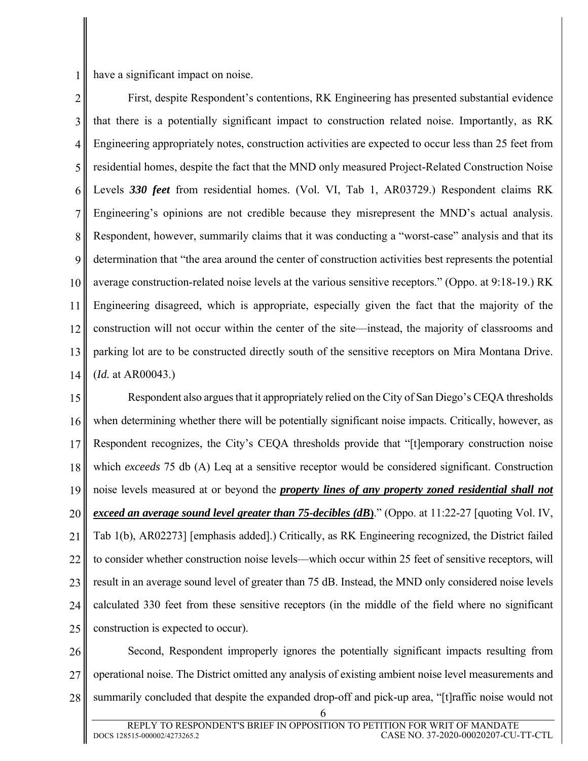have a significant impact on noise.

1

2 3 4 5 6 7 8 9 10 11 12 13 14 First, despite Respondent's contentions, RK Engineering has presented substantial evidence that there is a potentially significant impact to construction related noise. Importantly, as RK Engineering appropriately notes, construction activities are expected to occur less than 25 feet from residential homes, despite the fact that the MND only measured Project-Related Construction Noise Levels *330 feet* from residential homes. (Vol. VI, Tab 1, AR03729.) Respondent claims RK Engineering's opinions are not credible because they misrepresent the MND's actual analysis. Respondent, however, summarily claims that it was conducting a "worst-case" analysis and that its determination that "the area around the center of construction activities best represents the potential average construction-related noise levels at the various sensitive receptors." (Oppo. at 9:18-19.) RK Engineering disagreed, which is appropriate, especially given the fact that the majority of the construction will not occur within the center of the site—instead, the majority of classrooms and parking lot are to be constructed directly south of the sensitive receptors on Mira Montana Drive. (*Id.* at AR00043.)

15 16 17 18 19 20 21 22 23 24 25 Respondent also argues that it appropriately relied on the City of San Diego's CEQA thresholds when determining whether there will be potentially significant noise impacts. Critically, however, as Respondent recognizes, the City's CEQA thresholds provide that "[t]emporary construction noise which *exceeds* 75 db (A) Leq at a sensitive receptor would be considered significant. Construction noise levels measured at or beyond the *property lines of any property zoned residential shall not exceed an average sound level greater than 75-decibles (dB***)**." (Oppo. at 11:22-27 [quoting Vol. IV, Tab 1(b), AR02273] [emphasis added].) Critically, as RK Engineering recognized, the District failed to consider whether construction noise levels—which occur within 25 feet of sensitive receptors, will result in an average sound level of greater than 75 dB. Instead, the MND only considered noise levels calculated 330 feet from these sensitive receptors (in the middle of the field where no significant construction is expected to occur).

26 27 28 Second, Respondent improperly ignores the potentially significant impacts resulting from operational noise. The District omitted any analysis of existing ambient noise level measurements and summarily concluded that despite the expanded drop-off and pick-up area, "[t]raffic noise would not

<sup>6</sup>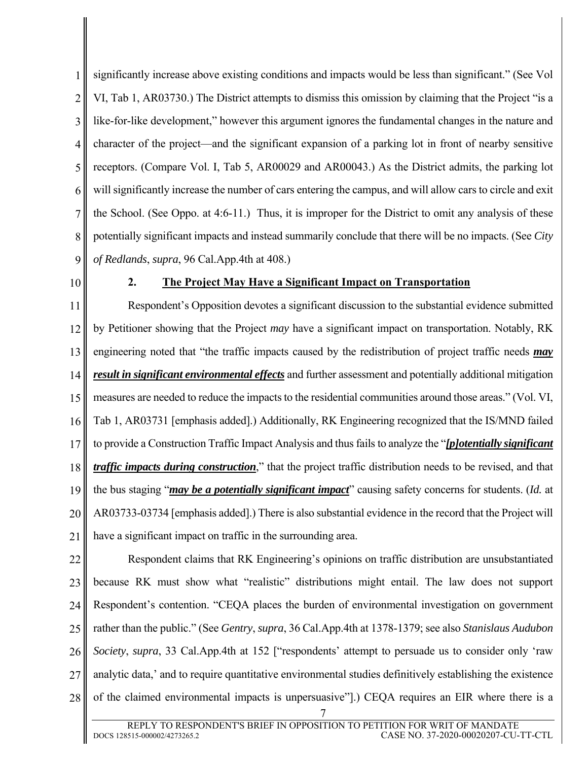1 2 3 4 5 6 7 8 9 significantly increase above existing conditions and impacts would be less than significant." (See Vol VI, Tab 1, AR03730.) The District attempts to dismiss this omission by claiming that the Project "is a like-for-like development," however this argument ignores the fundamental changes in the nature and character of the project—and the significant expansion of a parking lot in front of nearby sensitive receptors. (Compare Vol. I, Tab 5, AR00029 and AR00043.) As the District admits, the parking lot will significantly increase the number of cars entering the campus, and will allow cars to circle and exit the School. (See Oppo. at 4:6-11.) Thus, it is improper for the District to omit any analysis of these potentially significant impacts and instead summarily conclude that there will be no impacts. (See *City of Redlands*, *supra*, 96 Cal.App.4th at 408.)

10

### **2. The Project May Have a Significant Impact on Transportation**

11 12 13 14 15 16 17 18 19 20 21 Respondent's Opposition devotes a significant discussion to the substantial evidence submitted by Petitioner showing that the Project *may* have a significant impact on transportation. Notably, RK engineering noted that "the traffic impacts caused by the redistribution of project traffic needs *may result in significant environmental effects* and further assessment and potentially additional mitigation measures are needed to reduce the impacts to the residential communities around those areas." (Vol. VI, Tab 1, AR03731 [emphasis added].) Additionally, RK Engineering recognized that the IS/MND failed to provide a Construction Traffic Impact Analysis and thus fails to analyze the "*[p]otentially significant traffic impacts during construction*," that the project traffic distribution needs to be revised, and that the bus staging "*may be a potentially significant impact*" causing safety concerns for students. (*Id.* at AR03733-03734 [emphasis added].) There is also substantial evidence in the record that the Project will have a significant impact on traffic in the surrounding area.

22 23 24 25 26 27 28 Respondent claims that RK Engineering's opinions on traffic distribution are unsubstantiated because RK must show what "realistic" distributions might entail. The law does not support Respondent's contention. "CEQA places the burden of environmental investigation on government rather than the public." (See *Gentry*, *supra*, 36 Cal.App.4th at 1378-1379; see also *Stanislaus Audubon Society*, *supra*, 33 Cal.App.4th at 152 ["respondents' attempt to persuade us to consider only 'raw analytic data,' and to require quantitative environmental studies definitively establishing the existence of the claimed environmental impacts is unpersuasive"].) CEQA requires an EIR where there is a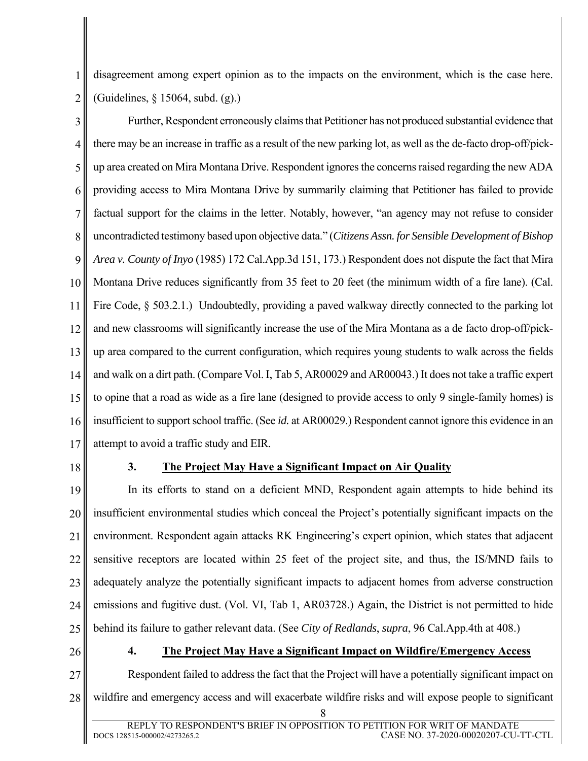1 2 disagreement among expert opinion as to the impacts on the environment, which is the case here. (Guidelines, § 15064, subd. (g).)

3 4 5 6 7 8 9 10 11 12 13 14 15 16 17 Further, Respondent erroneously claims that Petitioner has not produced substantial evidence that there may be an increase in traffic as a result of the new parking lot, as well as the de-facto drop-off/pickup area created on Mira Montana Drive. Respondent ignores the concerns raised regarding the new ADA providing access to Mira Montana Drive by summarily claiming that Petitioner has failed to provide factual support for the claims in the letter. Notably, however, "an agency may not refuse to consider uncontradicted testimony based upon objective data." (*Citizens Assn. for Sensible Development of Bishop Area v. County of Inyo* (1985) 172 Cal.App.3d 151, 173.) Respondent does not dispute the fact that Mira Montana Drive reduces significantly from 35 feet to 20 feet (the minimum width of a fire lane). (Cal. Fire Code, § 503.2.1.) Undoubtedly, providing a paved walkway directly connected to the parking lot and new classrooms will significantly increase the use of the Mira Montana as a de facto drop-off/pickup area compared to the current configuration, which requires young students to walk across the fields and walk on a dirt path. (Compare Vol. I, Tab 5, AR00029 and AR00043.) It does not take a traffic expert to opine that a road as wide as a fire lane (designed to provide access to only 9 single-family homes) is insufficient to support school traffic. (See *id.* at AR00029.) Respondent cannot ignore this evidence in an attempt to avoid a traffic study and EIR.

18

# **3. The Project May Have a Significant Impact on Air Quality**

19 20 21 22 23 24 25 In its efforts to stand on a deficient MND, Respondent again attempts to hide behind its insufficient environmental studies which conceal the Project's potentially significant impacts on the environment. Respondent again attacks RK Engineering's expert opinion, which states that adjacent sensitive receptors are located within 25 feet of the project site, and thus, the IS/MND fails to adequately analyze the potentially significant impacts to adjacent homes from adverse construction emissions and fugitive dust. (Vol. VI, Tab 1, AR03728.) Again, the District is not permitted to hide behind its failure to gather relevant data. (See *City of Redlands*, *supra*, 96 Cal.App.4th at 408.)

26

### **4. The Project May Have a Significant Impact on Wildfire/Emergency Access**

27 28 Respondent failed to address the fact that the Project will have a potentially significant impact on wildfire and emergency access and will exacerbate wildfire risks and will expose people to significant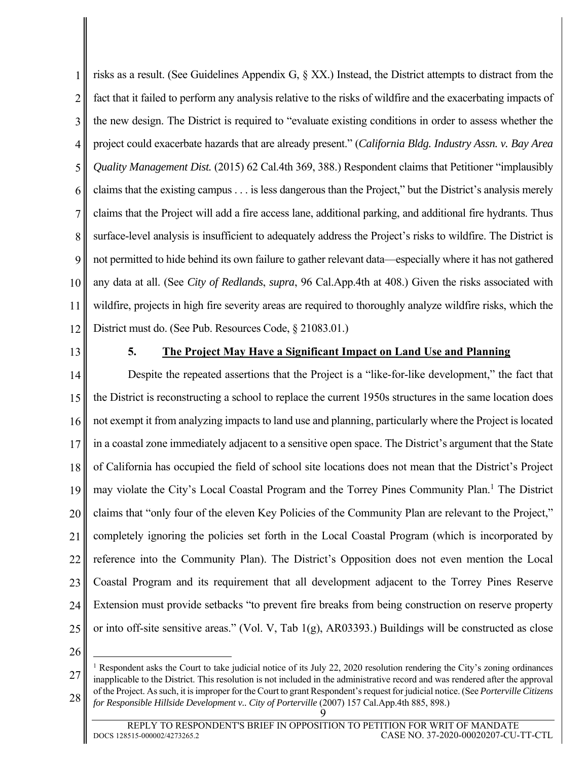1 2 3 4 5 6 7 8 9 10 11 12 risks as a result. (See Guidelines Appendix G, § XX.) Instead, the District attempts to distract from the fact that it failed to perform any analysis relative to the risks of wildfire and the exacerbating impacts of the new design. The District is required to "evaluate existing conditions in order to assess whether the project could exacerbate hazards that are already present." (*California Bldg. Industry Assn. v. Bay Area Quality Management Dist.* (2015) 62 Cal.4th 369, 388.) Respondent claims that Petitioner "implausibly claims that the existing campus . . . is less dangerous than the Project," but the District's analysis merely claims that the Project will add a fire access lane, additional parking, and additional fire hydrants. Thus surface-level analysis is insufficient to adequately address the Project's risks to wildfire. The District is not permitted to hide behind its own failure to gather relevant data—especially where it has not gathered any data at all. (See *City of Redlands*, *supra*, 96 Cal.App.4th at 408.) Given the risks associated with wildfire, projects in high fire severity areas are required to thoroughly analyze wildfire risks, which the District must do. (See Pub. Resources Code, § 21083.01.)

13

### **5. The Project May Have a Significant Impact on Land Use and Planning**

14 15 16 17 18 19 20 21 22 23 24 25 Despite the repeated assertions that the Project is a "like-for-like development," the fact that the District is reconstructing a school to replace the current 1950s structures in the same location does not exempt it from analyzing impacts to land use and planning, particularly where the Project is located in a coastal zone immediately adjacent to a sensitive open space. The District's argument that the State of California has occupied the field of school site locations does not mean that the District's Project may violate the City's Local Coastal Program and the Torrey Pines Community Plan.<sup>1</sup> The District claims that "only four of the eleven Key Policies of the Community Plan are relevant to the Project," completely ignoring the policies set forth in the Local Coastal Program (which is incorporated by reference into the Community Plan). The District's Opposition does not even mention the Local Coastal Program and its requirement that all development adjacent to the Torrey Pines Reserve Extension must provide setbacks "to prevent fire breaks from being construction on reserve property or into off-site sensitive areas." (Vol. V, Tab 1(g), AR03393.) Buildings will be constructed as close

26

 $\overline{a}$ 

<sup>27</sup> 28 <sup>1</sup> Respondent asks the Court to take judicial notice of its July 22, 2020 resolution rendering the City's zoning ordinances inapplicable to the District. This resolution is not included in the administrative record and was rendered after the approval of the Project. As such, it is improper for the Court to grant Respondent's request for judicial notice. (See *Porterville Citizens for Responsible Hillside Development v.. City of Porterville* (2007) 157 Cal.App.4th 885, 898.)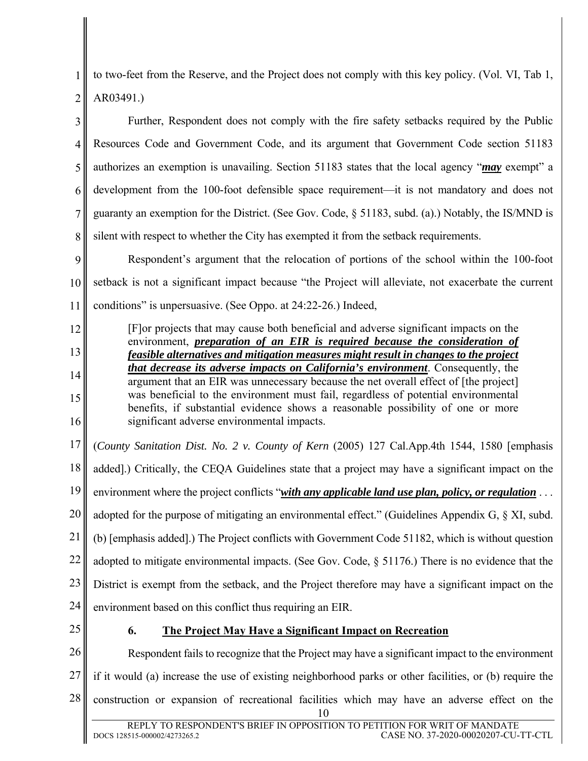2 to two-feet from the Reserve, and the Project does not comply with this key policy. (Vol. VI, Tab 1, AR03491.)

3 4 5 6 7 8 Further, Respondent does not comply with the fire safety setbacks required by the Public Resources Code and Government Code, and its argument that Government Code section 51183 authorizes an exemption is unavailing. Section 51183 states that the local agency "*may* exempt" a development from the 100-foot defensible space requirement—it is not mandatory and does not guaranty an exemption for the District. (See Gov. Code, § 51183, subd. (a).) Notably, the IS/MND is silent with respect to whether the City has exempted it from the setback requirements.

9 10 11 Respondent's argument that the relocation of portions of the school within the 100-foot setback is not a significant impact because "the Project will alleviate, not exacerbate the current conditions" is unpersuasive. (See Oppo. at 24:22-26.) Indeed,

[F]or projects that may cause both beneficial and adverse significant impacts on the environment, *preparation of an EIR is required because the consideration of feasible alternatives and mitigation measures might result in changes to the project that decrease its adverse impacts on California's environment*. Consequently, the argument that an EIR was unnecessary because the net overall effect of [the project] was beneficial to the environment must fail, regardless of potential environmental benefits, if substantial evidence shows a reasonable possibility of one or more significant adverse environmental impacts.

17 18 19 20 21 22 23 24 (*County Sanitation Dist. No. 2 v. County of Kern* (2005) 127 Cal.App.4th 1544, 1580 [emphasis added].) Critically, the CEQA Guidelines state that a project may have a significant impact on the environment where the project conflicts "*with any applicable land use plan, policy, or regulation* ... adopted for the purpose of mitigating an environmental effect." (Guidelines Appendix G, § XI, subd. (b) [emphasis added].) The Project conflicts with Government Code 51182, which is without question adopted to mitigate environmental impacts. (See Gov. Code, § 51176.) There is no evidence that the District is exempt from the setback, and the Project therefore may have a significant impact on the environment based on this conflict thus requiring an EIR.

25

1

12

13

14

15

16

# **6. The Project May Have a Significant Impact on Recreation**

26 27 28 10 Respondent fails to recognize that the Project may have a significant impact to the environment if it would (a) increase the use of existing neighborhood parks or other facilities, or (b) require the construction or expansion of recreational facilities which may have an adverse effect on the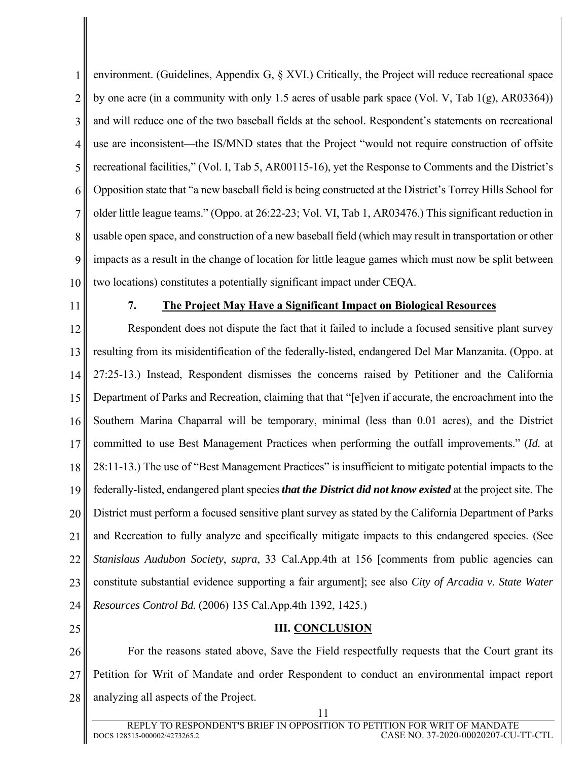1 2 3 4 5 6 7 8 9 10 environment. (Guidelines, Appendix G, § XVI.) Critically, the Project will reduce recreational space by one acre (in a community with only 1.5 acres of usable park space (Vol. V, Tab 1(g), AR03364)) and will reduce one of the two baseball fields at the school. Respondent's statements on recreational use are inconsistent—the IS/MND states that the Project "would not require construction of offsite recreational facilities," (Vol. I, Tab 5, AR00115-16), yet the Response to Comments and the District's Opposition state that "a new baseball field is being constructed at the District's Torrey Hills School for older little league teams." (Oppo. at 26:22-23; Vol. VI, Tab 1, AR03476.) This significant reduction in usable open space, and construction of a new baseball field (which may result in transportation or other impacts as a result in the change of location for little league games which must now be split between two locations) constitutes a potentially significant impact under CEQA.

11

#### **7. The Project May Have a Significant Impact on Biological Resources**

12 13 14 15 16 17 18 19 20 21 22 23 24 Respondent does not dispute the fact that it failed to include a focused sensitive plant survey resulting from its misidentification of the federally-listed, endangered Del Mar Manzanita. (Oppo. at 27:25-13.) Instead, Respondent dismisses the concerns raised by Petitioner and the California Department of Parks and Recreation, claiming that that "[e]ven if accurate, the encroachment into the Southern Marina Chaparral will be temporary, minimal (less than 0.01 acres), and the District committed to use Best Management Practices when performing the outfall improvements." (*Id.* at 28:11-13.) The use of "Best Management Practices" is insufficient to mitigate potential impacts to the federally-listed, endangered plant species *that the District did not know existed* at the project site. The District must perform a focused sensitive plant survey as stated by the California Department of Parks and Recreation to fully analyze and specifically mitigate impacts to this endangered species. (See *Stanislaus Audubon Society*, *supra*, 33 Cal.App.4th at 156 [comments from public agencies can constitute substantial evidence supporting a fair argument]; see also *City of Arcadia v. State Water Resources Control Bd.* (2006) 135 Cal.App.4th 1392, 1425.)

25

**III. CONCLUSION** 

26 27 28 For the reasons stated above, Save the Field respectfully requests that the Court grant its Petition for Writ of Mandate and order Respondent to conduct an environmental impact report analyzing all aspects of the Project.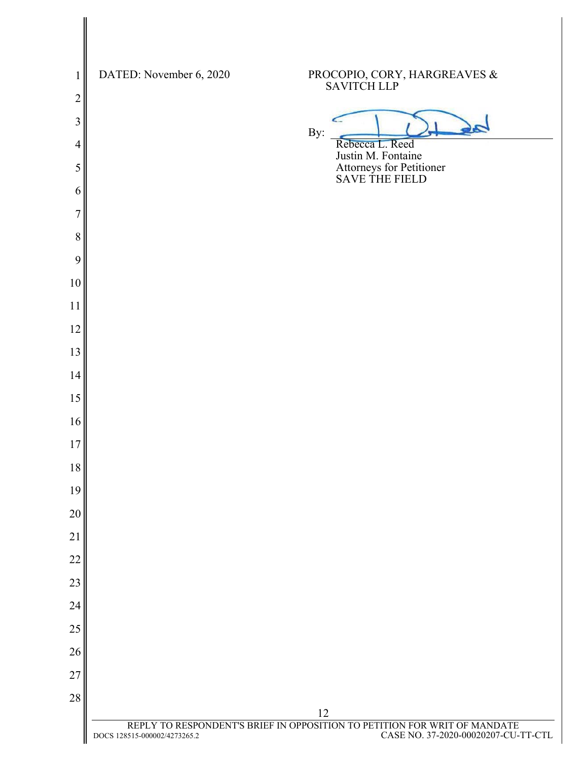